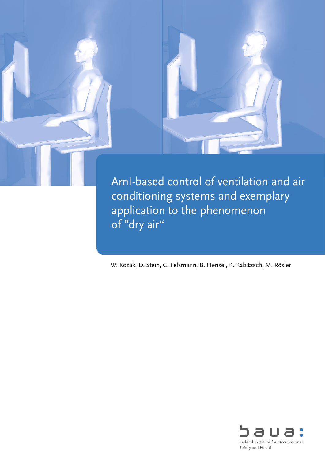

conditioning systems and exemplary application to the phenomenon of "dry air"

W. Kozak, D. Stein, C. Felsmann, B. Hensel, K. Kabitzsch, M. Rösler

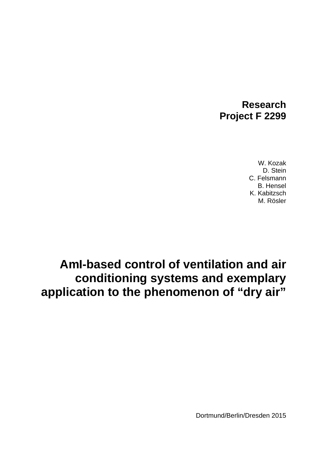## **Research Project F 2299**

W. Kozak D. Stein C. Felsmann B. Hensel K. Kabitzsch M. Rösler

# **AmI-based control of ventilation and air conditioning systems and exemplary application to the phenomenon of "dry air"**

Dortmund/Berlin/Dresden 2015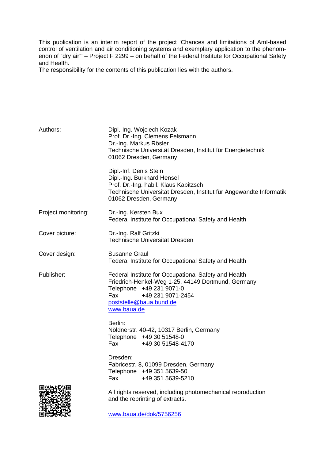This publication is an interim report of the project 'Chances and limitations of AmI-based control of ventilation and air conditioning systems and exemplary application to the phenomenon of "dry air"' – Project F 2299 – on behalf of the Federal Institute for Occupational Safety and Health.

The responsibility for the contents of this publication lies with the authors.

| Authors:            | Dipl.-Ing. Wojciech Kozak<br>Prof. Dr.-Ing. Clemens Felsmann<br>Dr.-Ing. Markus Rösler<br>Technische Universität Dresden, Institut für Energietechnik<br>01062 Dresden, Germany                              |
|---------------------|--------------------------------------------------------------------------------------------------------------------------------------------------------------------------------------------------------------|
|                     | Dipl.-Inf. Denis Stein<br>Dipl.-Ing. Burkhard Hensel<br>Prof. Dr.-Ing. habil. Klaus Kabitzsch<br>Technische Universität Dresden, Institut für Angewandte Informatik<br>01062 Dresden, Germany                |
| Project monitoring: | Dr.-Ing. Kersten Bux<br>Federal Institute for Occupational Safety and Health                                                                                                                                 |
| Cover picture:      | Dr.-Ing. Ralf Gritzki<br>Technische Universität Dresden                                                                                                                                                      |
| Cover design:       | <b>Susanne Graul</b><br>Federal Institute for Occupational Safety and Health                                                                                                                                 |
| Publisher:          | Federal Institute for Occupational Safety and Health<br>Friedrich-Henkel-Weg 1-25, 44149 Dortmund, Germany<br>Telephone +49 231 9071-0<br>+49 231 9071-2454<br>Fax<br>poststelle@baua.bund.de<br>www.baua.de |
|                     | Berlin:<br>Nöldnerstr. 40-42, 10317 Berlin, Germany<br>Telephone +49 30 51548-0<br>Fax +49 30 51548-4170                                                                                                     |
|                     | Dresden:<br>Fabricestr. 8, 01099 Dresden, Germany<br>Telephone +49 351 5639-50<br>+49 351 5639-5210<br>Fax                                                                                                   |
|                     | All rights reserved, including photomechanical reproduction<br>and the reprinting of extracts.                                                                                                               |
|                     | www.baua.de/dok/5756256                                                                                                                                                                                      |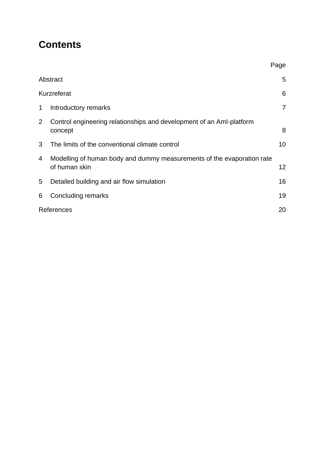# **Contents**

|                |                                                                                         | Page           |
|----------------|-----------------------------------------------------------------------------------------|----------------|
|                | Abstract                                                                                | 5              |
| Kurzreferat    |                                                                                         | 6              |
| 1              | Introductory remarks                                                                    | $\overline{7}$ |
| $\overline{2}$ | Control engineering relationships and development of an AmI-platform<br>concept         | 8              |
| 3              | The limits of the conventional climate control                                          | 10             |
| 4              | Modelling of human body and dummy measurements of the evaporation rate<br>of human skin | 12             |
| 5              | Detailed building and air flow simulation                                               | 16             |
| 6              | Concluding remarks                                                                      | 19             |
|                | References                                                                              |                |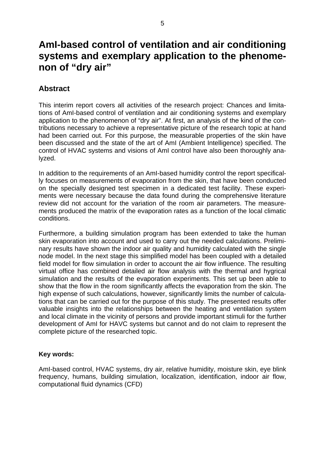## <span id="page-4-0"></span>**AmI-based control of ventilation and air conditioning systems and exemplary application to the phenomenon of "dry air"**

### **Abstract**

This interim report covers all activities of the research project: Chances and limitations of AmI-based control of ventilation and air conditioning systems and exemplary application to the phenomenon of "dry air". At first, an analysis of the kind of the contributions necessary to achieve a representative picture of the research topic at hand had been carried out. For this purpose, the measurable properties of the skin have been discussed and the state of the art of AmI (Ambient Intelligence) specified. The control of HVAC systems and visions of AmI control have also been thoroughly analyzed.

In addition to the requirements of an AmI-based humidity control the report specifically focuses on measurements of evaporation from the skin, that have been conducted on the specially designed test specimen in a dedicated test facility. These experiments were necessary because the data found during the comprehensive literature review did not account for the variation of the room air parameters. The measurements produced the matrix of the evaporation rates as a function of the local climatic conditions.

Furthermore, a building simulation program has been extended to take the human skin evaporation into account and used to carry out the needed calculations. Preliminary results have shown the indoor air quality and humidity calculated with the single node model. In the next stage this simplified model has been coupled with a detailed field model for flow simulation in order to account the air flow influence. The resulting virtual office has combined detailed air flow analysis with the thermal and hygrical simulation and the results of the evaporation experiments. This set up been able to show that the flow in the room significantly affects the evaporation from the skin. The high expense of such calculations, however, significantly limits the number of calculations that can be carried out for the purpose of this study. The presented results offer valuable insights into the relationships between the heating and ventilation system and local climate in the vicinity of persons and provide important stimuli for the further development of AmI for HAVC systems but cannot and do not claim to represent the complete picture of the researched topic.

#### **Key words:**

AmI-based control, HVAC systems, dry air, relative humidity, moisture skin, eye blink frequency, humans, building simulation, localization, identification, indoor air flow, computational fluid dynamics (CFD)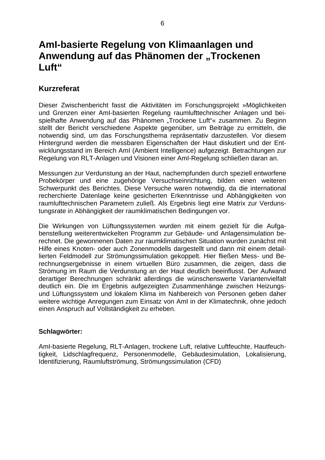## <span id="page-5-0"></span>**AmI-basierte Regelung von Klimaanlagen und**  Anwendung auf das Phänomen der "Trockenen **Luft"**

#### **Kurzreferat**

Dieser Zwischenbericht fasst die Aktivitäten im Forschungsprojekt »Möglichkeiten und Grenzen einer AmI-basierten Regelung raumlufttechnischer Anlagen und beispielhafte Anwendung auf das Phänomen "Trockene Luft"« zusammen. Zu Beginn stellt der Bericht verschiedene Aspekte gegenüber, um Beiträge zu ermitteln, die notwendig sind, um das Forschungsthema repräsentativ darzustellen. Vor diesem Hintergrund werden die messbaren Eigenschaften der Haut diskutiert und der Entwicklungsstand im Bereich AmI (Ambient Intelligence) aufgezeigt. Betrachtungen zur Regelung von RLT-Anlagen und Visionen einer AmI-Regelung schließen daran an.

Messungen zur Verdunstung an der Haut, nachempfunden durch speziell entworfene Probekörper und eine zugehörige Versuchseinrichtung, bilden einen weiteren Schwerpunkt des Berichtes. Diese Versuche waren notwendig, da die international recherchierte Datenlage keine gesicherten Erkenntnisse und Abhängigkeiten von raumlufttechnischen Parametern zuließ. Als Ergebnis liegt eine Matrix zur Verdunstungsrate in Abhängigkeit der raumklimatischen Bedingungen vor.

Die Wirkungen von Lüftungssystemen wurden mit einem gezielt für die Aufgabenstellung weiterentwickelten Programm zur Gebäude- und Anlagensimulation berechnet. Die gewonnenen Daten zur raumklimatischen Situation wurden zunächst mit Hilfe eines Knoten- oder auch Zonenmodells dargestellt und dann mit einem detaillierten Feldmodell zur Strömungssimulation gekoppelt. Hier fließen Mess- und Berechnungsergebnisse in einem virtuellen Büro zusammen, die zeigen, dass die Strömung im Raum die Verdunstung an der Haut deutlich beeinflusst. Der Aufwand derartiger Berechnungen schränkt allerdings die wünschenswerte Variantenvielfalt deutlich ein. Die im Ergebnis aufgezeigten Zusammenhänge zwischen Heizungsund Lüftungssystem und lokalem Klima im Nahbereich von Personen geben daher weitere wichtige Anregungen zum Einsatz von AmI in der Klimatechnik, ohne jedoch einen Anspruch auf Vollständigkeit zu erheben.

#### **Schlagwörter:**

AmI-basierte Regelung, RLT-Anlagen, trockene Luft, relative Luftfeuchte, Hautfeuchtigkeit, Lidschlagfrequenz, Personenmodelle, Gebäudesimulation, Lokalisierung, Identifizierung, Raumluftströmung, Strömungssimulation (CFD)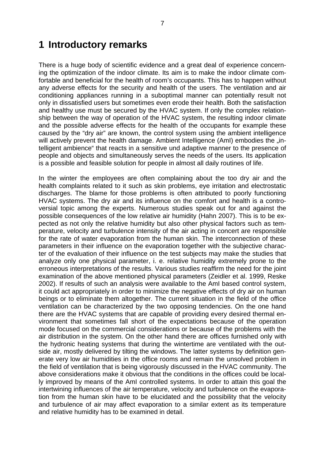### <span id="page-6-0"></span>**1 Introductory remarks**

There is a huge body of scientific evidence and a great deal of experience concerning the optimization of the indoor climate. Its aim is to make the indoor climate comfortable and beneficial for the health of room's occupants. This has to happen without any adverse effects for the security and health of the users. The ventilation and air conditioning appliances running in a suboptimal manner can potentially result not only in dissatisfied users but sometimes even erode their health. Both the satisfaction and healthy use must be secured by the HVAC system. If only the complex relationship between the way of operation of the HVAC system, the resulting indoor climate and the possible adverse effects for the health of the occupants for example these caused by the "dry air" are known, the control system using the ambient intelligence will actively prevent the health damage. Ambient Intelligence (AmI) embodies the "intelligent ambience" that reacts in a sensitive und adaptive manner to the presence of people and objects and simultaneously serves the needs of the users. Its application is a possible and feasible solution for people in almost all daily routines of life.

In the winter the employees are often complaining about the too dry air and the health complaints related to it such as skin problems, eye irritation and electrostatic discharges. The blame for those problems is often attributed to poorly functioning HVAC systems. The dry air and its influence on the comfort and health is a controversial topic among the experts. Numerous studies speak out for and against the possible consequences of the low relative air humidity (Hahn 2007). This is to be expected as not only the relative humidity but also other physical factors such as temperature, velocity and turbulence intensity of the air acting in concert are responsible for the rate of water evaporation from the human skin. The interconnection of these parameters in their influence on the evaporation together with the subjective character of the evaluation of their influence on the test subjects may make the studies that analyze only one physical parameter, i. e. relative humidity extremely prone to the erroneous interpretations of the results. Various studies reaffirm the need for the joint examination of the above mentioned physical parameters (Zeidler et al. 1999, Reske 2002). If results of such an analysis were available to the AmI based control system, it could act appropriately in order to minimize the negative effects of dry air on human beings or to eliminate them altogether. The current situation in the field of the office ventilation can be characterized by the two opposing tendencies. On the one hand there are the HVAC systems that are capable of providing every desired thermal environment that sometimes fall short of the expectations because of the operation mode focused on the commercial considerations or because of the problems with the air distribution in the system. On the other hand there are offices furnished only with the hydronic heating systems that during the wintertime are ventilated with the outside air, mostly delivered by tilting the windows. The latter systems by definition generate very low air humidities in the office rooms and remain the unsolved problem in the field of ventilation that is being vigorously discussed in the HVAC community. The above considerations make it obvious that the conditions in the offices could be locally improved by means of the AmI controlled systems. In order to attain this goal the intertwining influences of the air temperature, velocity and turbulence on the evaporation from the human skin have to be elucidated and the possibility that the velocity and turbulence of air may affect evaporation to a similar extent as its temperature and relative humidity has to be examined in detail.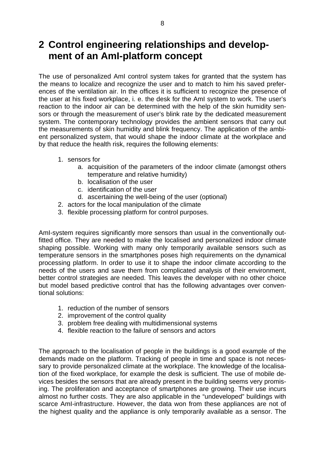# <span id="page-7-0"></span>**2 Control engineering relationships and development of an AmI-platform concept**

The use of personalized AmI control system takes for granted that the system has the means to localize and recognize the user and to match to him his saved preferences of the ventilation air. In the offices it is sufficient to recognize the presence of the user at his fixed workplace, i. e. the desk for the AmI system to work. The user's reaction to the indoor air can be determined with the help of the skin humidity sensors or through the measurement of user's blink rate by the dedicated measurement system. The contemporary technology provides the ambient sensors that carry out the measurements of skin humidity and blink frequency. The application of the ambient personalized system, that would shape the indoor climate at the workplace and by that reduce the health risk, requires the following elements:

- 1. sensors for
	- a. acquisition of the parameters of the indoor climate (amongst others temperature and relative humidity)
	- b. localisation of the user
	- c. identification of the user
	- d. ascertaining the well-being of the user (optional)
- 2. actors for the local manipulation of the climate
- 3. flexible processing platform for control purposes.

AmI-system requires significantly more sensors than usual in the conventionally outfitted office. They are needed to make the localised and personalized indoor climate shaping possible. Working with many only temporarily available sensors such as temperature sensors in the smartphones poses high requirements on the dynamical processing platform. In order to use it to shape the indoor climate according to the needs of the users and save them from complicated analysis of their environment, better control strategies are needed. This leaves the developer with no other choice but model based predictive control that has the following advantages over conventional solutions:

- 1. reduction of the number of sensors
- 2. improvement of the control quality
- 3. problem free dealing with multidimensional systems
- 4. flexible reaction to the failure of sensors and actors

The approach to the localisation of people in the buildings is a good example of the demands made on the platform. Tracking of people in time and space is not necessary to provide personalized climate at the workplace. The knowledge of the localisation of the fixed workplace, for example the desk is sufficient. The use of mobile devices besides the sensors that are already present in the building seems very promising. The proliferation and acceptance of smartphones are growing. Their use incurs almost no further costs. They are also applicable in the "undeveloped" buildings with scarce AmI-infrastructure. However, the data won from these appliances are not of the highest quality and the appliance is only temporarily available as a sensor. The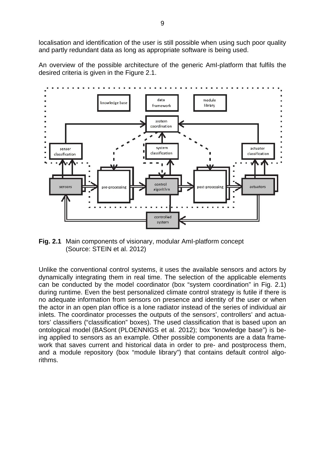localisation and identification of the user is still possible when using such poor quality and partly redundant data as long as appropriate software is being used.

An overview of the possible architecture of the generic AmI-platform that fulfils the desired criteria is given in the Figure 2.1.



**Fig. 2.1** Main components of visionary, modular AmI-platform concept (Source: STEIN et al. 2012)

Unlike the conventional control systems, it uses the available sensors and actors by dynamically integrating them in real time. The selection of the applicable elements can be conducted by the model coordinator (box "system coordination" in Fig. 2.1) during runtime. Even the best personalized climate control strategy is futile if there is no adequate information from sensors on presence and identity of the user or when the actor in an open plan office is a lone radiator instead of the series of individual air inlets. The coordinator processes the outputs of the sensors', controllers' and actuators' classifiers ("classification" boxes). The used classification that is based upon an ontological model (BASont (PLOENNIGS et al. 2012); box "knowledge base") is being applied to sensors as an example. Other possible components are a data framework that saves current and historical data in order to pre- and postprocess them, and a module repository (box "module library") that contains default control algorithms.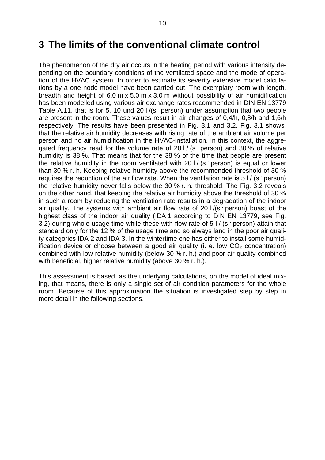### <span id="page-9-0"></span>**3 The limits of the conventional climate control**

The phenomenon of the dry air occurs in the heating period with various intensity depending on the boundary conditions of the ventilated space and the mode of operation of the HVAC system. In order to estimate its severity extensive model calculations by a one node model have been carried out. The exemplary room with length, breadth and height of 6,0 m x 5,0 m x 3,0 m without possibility of air humidification has been modelled using various air exchange rates recommended in DIN EN 13779 Table A.11, that is for 5, 10 und 20 l /(s **.** person) under assumption that two people are present in the room. These values result in air changes of 0,4/h, 0,8/h and 1,6/h respectively. The results have been presented in Fig. 3.1 and 3.2. Fig. 3.1 shows, that the relative air humidity decreases with rising rate of the ambient air volume per person and no air humidification in the HVAC-installation. In this context, the aggregated frequency read for the volume rate of 20 l / (s **.** person) and 30 % of relative humidity is 38 %. That means that for the 38 % of the time that people are present the relative humidity in the room ventilated with 20 l / (s **.** person) is equal or lower than 30 % r. h. Keeping relative humidity above the recommended threshold of 30 % requires the reduction of the air flow rate. When the ventilation rate is 5 l / (s · person) the relative humidity never falls below the 30 % r. h. threshold. The Fig. 3.2 reveals on the other hand, that keeping the relative air humidity above the threshold of 30 % in such a room by reducing the ventilation rate results in a degradation of the indoor air quality. The systems with ambient air flow rate of 201/(s person) boast of the highest class of the indoor air quality (IDA 1 according to DIN EN 13779, see Fig. 3.2) during whole usage time while these with flow rate of 5 l / (s · person) attain that standard only for the 12 % of the usage time and so always land in the poor air quality categories IDA 2 and IDA 3. In the wintertime one has either to install some humidification device or choose between a good air quality (i. e. low  $CO<sub>2</sub>$  concentration) combined with low relative humidity (below 30 % r. h.) and poor air quality combined with beneficial, higher relative humidity (above 30 % r. h.).

This assessment is based, as the underlying calculations, on the model of ideal mixing, that means, there is only a single set of air condition parameters for the whole room. Because of this approximation the situation is investigated step by step in more detail in the following sections.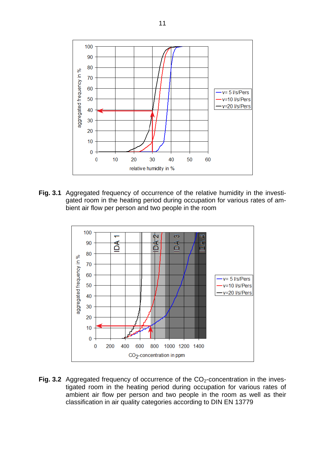

**Fig. 3.1** Aggregated frequency of occurrence of the relative humidity in the investigated room in the heating period during occupation for various rates of ambient air flow per person and two people in the room



**Fig. 3.2** Aggregated frequency of occurrence of the CO<sub>2</sub>-concentration in the investigated room in the heating period during occupation for various rates of ambient air flow per person and two people in the room as well as their classification in air quality categories according to DIN EN 13779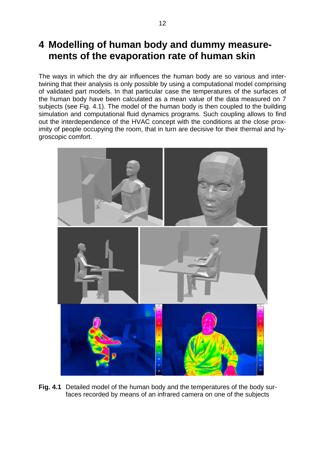## <span id="page-11-0"></span>**4 Modelling of human body and dummy measurements of the evaporation rate of human skin**

The ways in which the dry air influences the human body are so various and intertwining that their analysis is only possible by using a computational model comprising of validated part models. In that particular case the temperatures of the surfaces of the human body have been calculated as a mean value of the data measured on 7 subjects (see Fig. 4.1). The model of the human body is then coupled to the building simulation and computational fluid dynamics programs. Such coupling allows to find out the interdependence of the HVAC concept with the conditions at the close proximity of people occupying the room, that in turn are decisive for their thermal and hygroscopic comfort.



**Fig. 4.1** Detailed model of the human body and the temperatures of the body surfaces recorded by means of an infrared camera on one of the subjects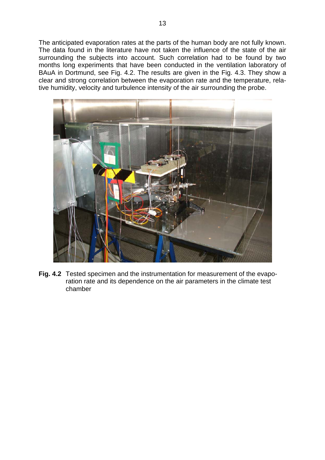The anticipated evaporation rates at the parts of the human body are not fully known. The data found in the literature have not taken the influence of the state of the air surrounding the subjects into account. Such correlation had to be found by two months long experiments that have been conducted in the ventilation laboratory of BAuA in Dortmund, see Fig. 4.2. The results are given in the Fig. 4.3. They show a clear and strong correlation between the evaporation rate and the temperature, relative humidity, velocity and turbulence intensity of the air surrounding the probe.



**Fig. 4.2** Tested specimen and the instrumentation for measurement of the evaporation rate and its dependence on the air parameters in the climate test chamber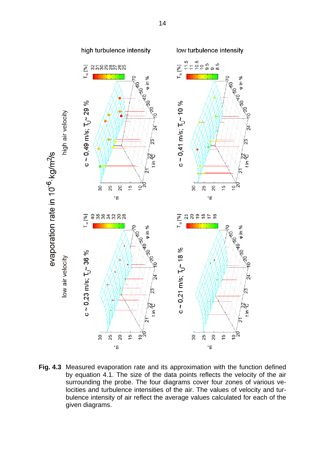

**Fig. 4.3** Measured evaporation rate and its approximation with the function defined by equation 4.1. The size of the data points reflects the velocity of the air surrounding the probe. The four diagrams cover four zones of various velocities and turbulence intensities of the air. The values of velocity and turbulence intensity of air reflect the average values calculated for each of the given diagrams.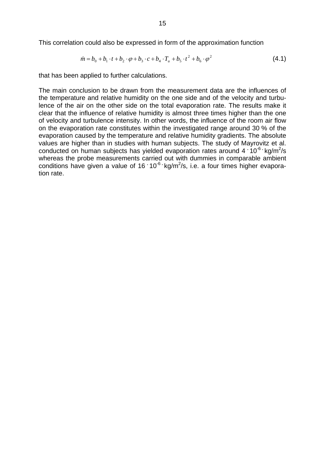This correlation could also be expressed in form of the approximation function

$$
\dot{m} = b_0 + b_1 \cdot t + b_2 \cdot \varphi + b_3 \cdot c + b_4 \cdot T_u + b_5 \cdot t^2 + b_6 \cdot \varphi^2 \tag{4.1}
$$

that has been applied to further calculations.

The main conclusion to be drawn from the measurement data are the influences of the temperature and relative humidity on the one side and of the velocity and turbulence of the air on the other side on the total evaporation rate. The results make it clear that the influence of relative humidity is almost three times higher than the one of velocity and turbulence intensity. In other words, the influence of the room air flow on the evaporation rate constitutes within the investigated range around 30 % of the evaporation caused by the temperature and relative humidity gradients. The absolute values are higher than in studies with human subjects. The study of Mayrovitz et al. conducted on human subjects has yielded evaporation rates around 4 **10<sup>-6</sup> · kg/m<sup>2</sup>/s** whereas the probe measurements carried out with dummies in comparable ambient conditions have given a value of 16 <sup>10<sup>-6</sup> kg/m<sup>2</sup>/s, i.e. a four times higher evapora-</sup> tion rate.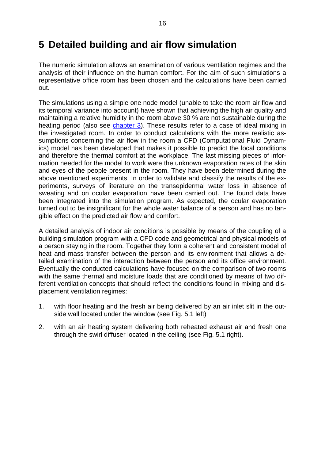### <span id="page-15-0"></span>**5 Detailed building and air flow simulation**

The numeric simulation allows an examination of various ventilation regimes and the analysis of their influence on the human comfort. For the aim of such simulations a representative office room has been chosen and the calculations have been carried out.

The simulations using a simple one node model (unable to take the room air flow and its temporal variance into account) have shown that achieving the high air quality and maintaining a relative humidity in the room above 30 % are not sustainable during the heating period (also see [chapter 3\).](#page-9-0) These results refer to a case of ideal mixing in the investigated room. In order to conduct calculations with the more realistic assumptions concerning the air flow in the room a CFD (Computational Fluid Dynamics) model has been developed that makes it possible to predict the local conditions and therefore the thermal comfort at the workplace. The last missing pieces of information needed for the model to work were the unknown evaporation rates of the skin and eyes of the people present in the room. They have been determined during the above mentioned experiments. In order to validate and classify the results of the experiments, surveys of literature on the transepidermal water loss in absence of sweating and on ocular evaporation have been carried out. The found data have been integrated into the simulation program. As expected, the ocular evaporation turned out to be insignificant for the whole water balance of a person and has no tangible effect on the predicted air flow and comfort.

A detailed analysis of indoor air conditions is possible by means of the coupling of a building simulation program with a CFD code and geometrical and physical models of a person staying in the room. Together they form a coherent and consistent model of heat and mass transfer between the person and its environment that allows a detailed examination of the interaction between the person and its office environment. Eventually the conducted calculations have focused on the comparison of two rooms with the same thermal and moisture loads that are conditioned by means of two different ventilation concepts that should reflect the conditions found in mixing and displacement ventilation regimes:

- 1. with floor heating and the fresh air being delivered by an air inlet slit in the outside wall located under the window (see Fig. 5.1 left)
- 2. with an air heating system delivering both reheated exhaust air and fresh one through the swirl diffuser located in the ceiling (see Fig. 5.1 right).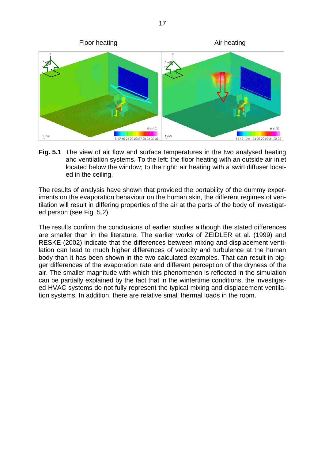

**Fig. 5.1** The view of air flow and surface temperatures in the two analysed heating and ventilation systems. To the left: the floor heating with an outside air inlet located below the window; to the right: air heating with a swirl diffuser located in the ceiling.

The results of analysis have shown that provided the portability of the dummy experiments on the evaporation behaviour on the human skin, the different regimes of ventilation will result in differing properties of the air at the parts of the body of investigated person (see Fig. 5.2).

The results confirm the conclusions of earlier studies although the stated differences are smaller than in the literature. The earlier works of ZEIDLER et al. (1999) and RESKE (2002) indicate that the differences between mixing and displacement ventilation can lead to much higher differences of velocity and turbulence at the human body than it has been shown in the two calculated examples. That can result in bigger differences of the evaporation rate and different perception of the dryness of the air. The smaller magnitude with which this phenomenon is reflected in the simulation can be partially explained by the fact that in the wintertime conditions, the investigated HVAC systems do not fully represent the typical mixing and displacement ventilation systems. In addition, there are relative small thermal loads in the room.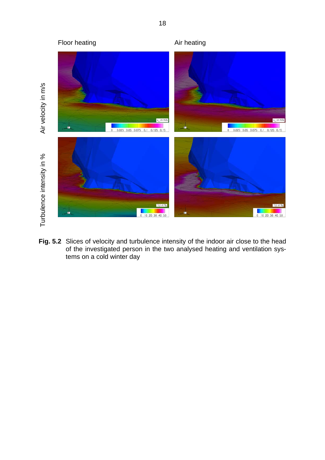

**Fig. 5.2** Slices of velocity and turbulence intensity of the indoor air close to the head of the investigated person in the two analysed heating and ventilation systems on a cold winter day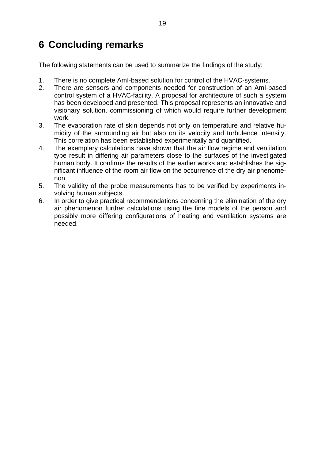# <span id="page-18-0"></span>**6 Concluding remarks**

The following statements can be used to summarize the findings of the study:

- 1. There is no complete AmI-based solution for control of the HVAC-systems.
- 2. There are sensors and components needed for construction of an AmI-based control system of a HVAC-facility. A proposal for architecture of such a system has been developed and presented. This proposal represents an innovative and visionary solution, commissioning of which would require further development work.
- 3. The evaporation rate of skin depends not only on temperature and relative humidity of the surrounding air but also on its velocity and turbulence intensity. This correlation has been established experimentally and quantified.
- 4. The exemplary calculations have shown that the air flow regime and ventilation type result in differing air parameters close to the surfaces of the investigated human body. It confirms the results of the earlier works and establishes the significant influence of the room air flow on the occurrence of the dry air phenomenon.
- 5. The validity of the probe measurements has to be verified by experiments involving human subjects.
- 6. In order to give practical recommendations concerning the elimination of the dry air phenomenon further calculations using the fine models of the person and possibly more differing configurations of heating and ventilation systems are needed.